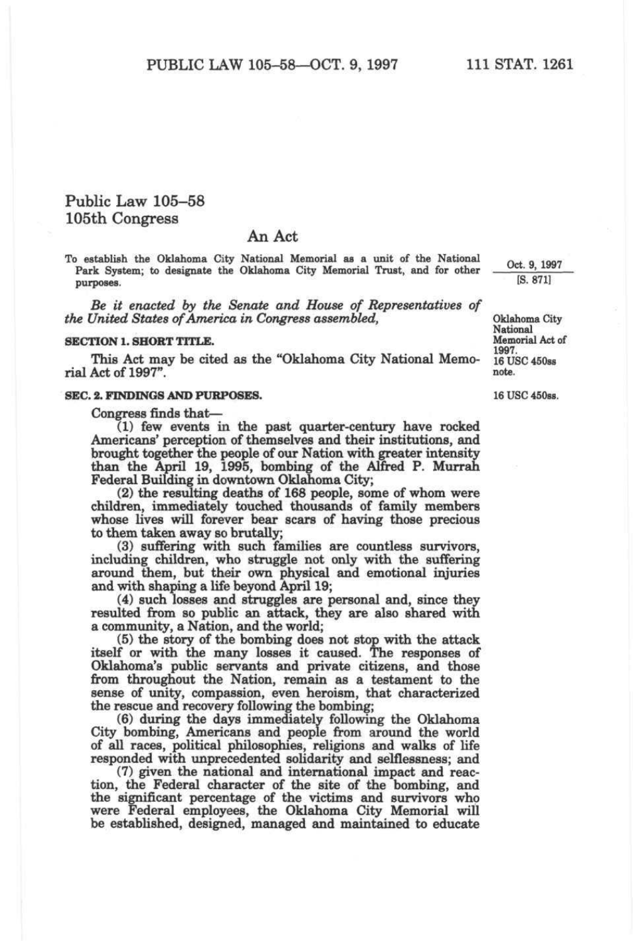# **Public Law 105-58 105th Congress**

# **An Act**

To establish the Oklahoma City National Memorial as a unit of the National Park System; to designate the Oklahoma City Memorial Trust, and for other purposes.

*Be it enacted by the Senate and House of Representatives of the United States of America in Congress assembled,* **Oklahoma** City

# **SECTION 1. SHORT TITLE.** Memorial Act of Act of Act of Act of Act of Act of Act of Act of Act of Act of Act of Act of Act of Act of Act of Act of Act of Act of Act of Act of Act of Act of Act of Act of Act of Act of Act o

This Act may be cited as the "Oklahoma City National Memo-  $16$  U rial Act of 1997". rial  $T_{\text{A}}$  and  $T_{\text{A}}$  and  $T_{\text{A}}$  are .

#### **SEC. 2. FINDINGS AND PURPOSES.**

Congress finds that—

(1) few events in the past quarter-century have rocked Americans' perception of themselves and their institutions, and brought together the people of our Nation with greater intensity than the April 19, 1995, bombing of the Alfred P. Murrah Federal Building in downtown Oklahoma City;

(2) the resulting deaths of 168 people, some of whom were children, immediately touched thousands of family members whose lives will forever bear scars of having those precious to them taken away so brutally;

(3) suffering with such families are countless survivors, including children, who struggle not only with the suffering around them, but their own physical and emotional injuries and with shaping a life beyond April 19;

(4) such losses and struggles are personal and, since they resulted from so public an attack, they are also shared with a community, a Nation, and the world;

(5) the story of the bombing does not stop with the attack itself or with the many losses it caused. The responses of Oklahoma's public servants and private citizens, and those from throughout the Nation, remain as a testament to the sense of unity, compassion, even heroism, that characterized the rescue and recovery following the bombing;

(6) during the days immechately following the Oklahoma City bombing, Americans and people from around the world of all races, political philosophies, religions and walks of life responded with unprecedented solidarity and selflessness; and

(7) given the national and international impact and reaction, the Federal character of the site of the bombing, and the significant percentage of the victims and survivors who were Federal employees, the Oklahoma City Memorial will be established, designed, managed and maintained to educate

Oct. 9, 1997 [S. 871]

National<br>Memorial Act of 16 USC 450ss

16 USC 450ss.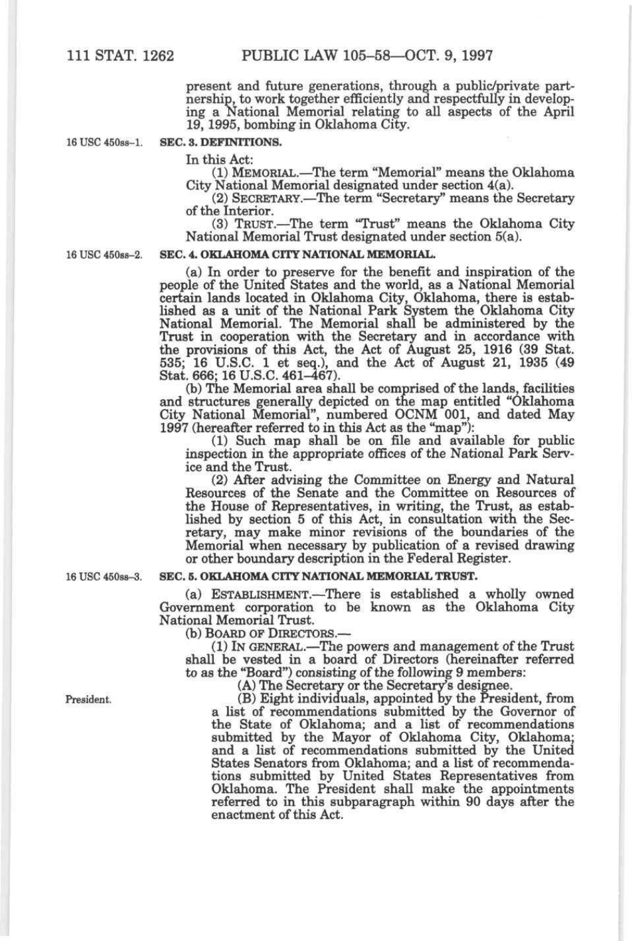present and future generations, through a public/private partnership, to work together efficiently and respectfully in developing a National Memorial relating to all aspects of the April 19,1995, bombing in Oklahoma City.

## **16 USC 450ss-1. SEC. 3. DEFINITIONS.**

In this Act:

(1) MEMORIAL.—^The term "Memorial" means the Oklahoma City National Memorial designated under section 4(a).

(2) SECRETARY,—The term "Secretary" means the Secretary of the Interior.

(3) TRUST.—The term "Trust" means the Oklahoma City National Memorial Trust designated under section 5(a).

#### 16 USC 450ss-2. SEC. 4. OKLAHOMA CITY NATIONAL MEMORIAL.

(a) In order to preserve for the benefit and inspiration of the people of the United States and the world, as a National Memorial certain lands located in Oklahoma City, Oklahoma, there is established as a unit of the National Park System the Oklahoma City National Memorial. The Memorial shall be administered by the Trust in cooperation with the Secretary and in accordance with the provisions of this Act, the Act of August 25, 1916 (39 Stat. 535; 16 U.S.C. 1 et seq.), and the Act of August 21, 1935 (49 Stat. 666; 16 U.S.C. 461-467).

(b) The Memorial area shall be comprised of the lands, facilities and structures generally depicted on the map entitled "Oklahoma City National Memorial", numbered OCNM 001, and dated May 1997 (hereafter referred to in this Act as the "map"):

(1) Such map shall be on file and available for public inspection in the appropriate offices of the National Park Service and the Trust.

(2) After advising the Committee on Energy and Natural Resources of the Senate and the Committee on Resources of the House of Representatives, in writing, the Trust, as established by section 5 of this Act, in consultation with the Secretary, may make minor revisions of the boundaries of the Memorial when necessary by publication of a revised drawing or other boundary description in the Federal Register.

#### 16 USC 450ss-3. **SEC. 5. OKLAHOMA CITY NATIONAL MEMORIAL TRUST.**

(a) ESTABLISHMENT.—There is established a wholly owned Government corporation to be known as the Oklahoma City National Memorial Trust.

(b) BOARD OF DIRECTORS.—

(1) IN GENERAL.—^The powers and management of the Trust shall be vested in a board of Directors (hereinafter referred to as the "Board") consisting of the following 9 members:

(A) The Secretary or the Secretary's designee.

President. (B) Eight individuals, appointed by the President, from a list of recommendations submitted by the Governor of the State of Oklahoma; and a list of recommendations submitted by the Mayor of Oklahoma City, Oklahoma; and a list of recommendations submitted by the United States Senators from Oklahoma; and a list of recommendations submitted by United States Representatives from Oklahoma. The President shall make the appointments referred to in this subparagraph within 90 days after the enactment of this Act.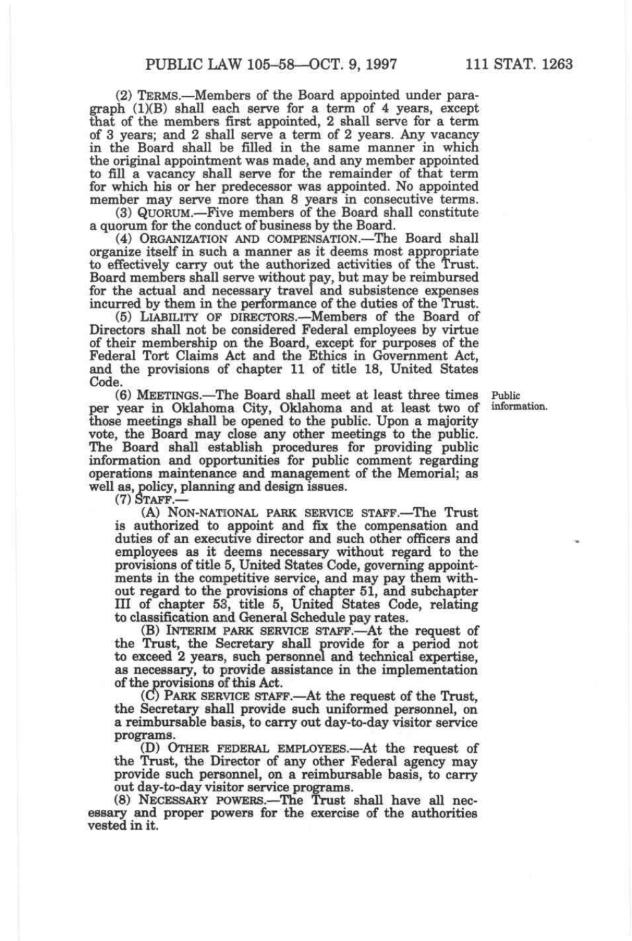(2) TERMS.—Members of the Board appointed under paragraph (1)(B) shall each serve for a term of 4 years, except that of the members first appointed, 2 shall serve for a term of 3 years; and 2 shall serve a term of 2 years. Any vacancy in the Board shall be filled in the same manner in which the original appointment was made, and any member appointed to fill a vacancy shall serve for the remainder of that term for which his or her predecessor was appointed. No appointed member may serve more than 8 years in consecutive terms.

(3) QUORUM.—Five members of the Board shall constitute a quorum for the conduct of business by the Board.

(4) ORGANIZATION AND COMPENSATION.—The Board shall organize itself in such a manner as it deems most appropriate to effectively carry out the authorized activities of the Trust. Board members shall serve without pay, but may be reimbursed for the actual and necessary travel and subsistence expenses incurred by them in the performance of the duties of the Trust.

(5) LIABILITY OF DIRECTORS.—Members of the Board of Directors shall not be considered Federal employees by virtue of their membership on the Board, except for purposes of the Federal Tort Claims Act and the Ethics in Government Act, and the provisions of chapter 11 of title 18, United States Code.

(6) MEETINGS.—The Board shall meet at least three times Public vear in Oklahoma City, Oklahoma and at least two of information. per year in Oklahoma City, Oklahoma and at least two of information, those meetings shall be opened to the public. Upon a majority vote, the Board may close any other meetings to the public. The Board shall establish procedures for providing public information and opportunities for public comment regarding operations maintenance and management of the Memorial; as well as, policy, planning and design issues.

(7) STAFF.—

(A) NON-NATIONAL PARK SERVICE STAFF.—The Trust is authorized to appoint and fix the compensation and duties of an executive director and such other officers and employees as it deems necessary without regard to the provisions of title 5, United States Code, governing appointments in the competitive service, and may pay them without regard to the provisions of chapter 51, and subchapter III of chapter 53, title 5, United States Code, relating to classification and General Schedule pay rates.

(B) INTERIM PARK SERVICE STAFF.—At the request of the Trust, the Secretary shall provide for a period not to exceed 2 years, such personnel and technical expertise, as necessary, to provide assistance in the implementation of the provisions of this Act.

(C) PARK SERVICE STAFF.—At the request of the Trust, the Secretary shall provide such uniformed personnel, on a reimbursable basis, to carry out day-to-day visitor service programs.

(D) OTHER FEDERAL EMPLOYEES.—At the request of the Trust, the Director of any other Federal agency may provide such personnel, on a reimbursable basis, to carry out day-to-day visitor service programs.

(8) NECESSARY POWERS.—The Trust shall have all necessary and proper powers for the exercise of the authorities vested in it.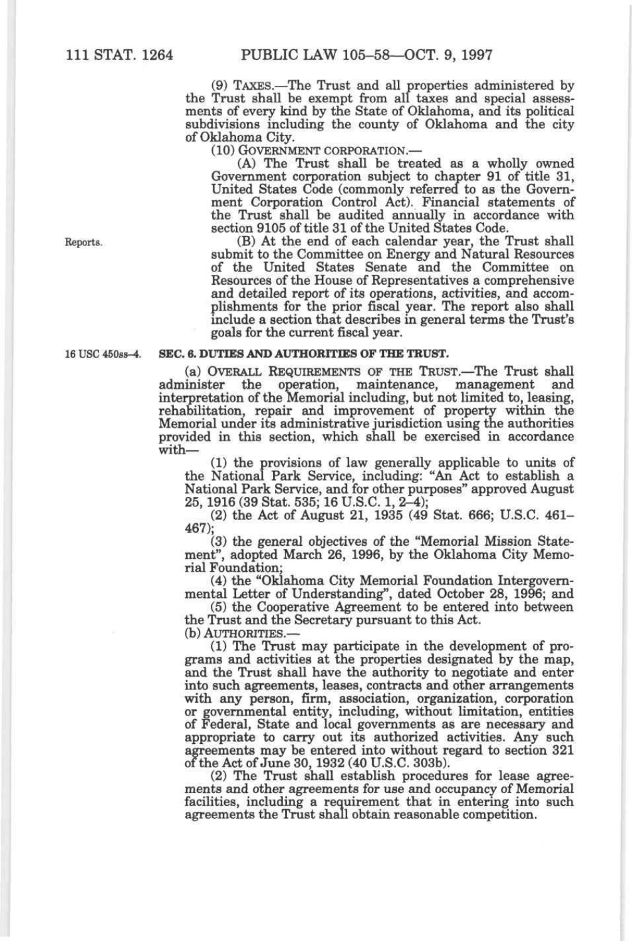(9) TAXES.—The Trust and all properties administered by the Trust shall be exempt from all taxes and special assessments of every kind by the State of Oklahoma, and its political subdivisions including the county of Oklahoma and the city of Oklahoma City.

(10) GOVERNMENT CORPORATION.—

(A) The Trust shall be treated as a wholly owned Government corporation subject to chapter 91 of title 31, United States Code (commonly referred to as the Government Corporation Control Act). Financial statements of the Trust shall be audited annually in accordance with section 9105 of title 31 of the United States Code.

Reports. (B) At the end of each calendar year, the Trust shall submit to the Committee on Energy and Natural Resources of the United States Senate and the Committee on Resources of the House of Representatives a comprehensive and detailed report of its operations, activities, and accomplishments for the prior fiscal year. The report also shall include a section that describes in general terms the Trust's goals for the current fiscal year.

#### 16 USC 450ss-4. SEC. 6. DUTIES AND AUTHORITIES OF THE TRUST.

(a) OVERALL REQUIREMENTS OF THE TRUST.—The Trust shall administer the operation, maintenance, management and interpretation of the Memorial including, but not limited to, leasing, rehabilitation, repair and improvement of property within the Memorial under its administrative jurisdiction using the authorities provided in this section, which shall be exercised in accordance with—

(1) the provisions of law generally applicable to units of the National Park Service, including: "An Act to establish a National Park Service, and for other purposes" approved August 25,1916 (39 Stat. 535; 16 U.S.C. 1, 2-4);

(2) the Act of August 21, 1935 (49 Stat. 666; U.S.C. 461- 467);

(3) the general objectives of the "Memorial Mission Statement", adopted March 26, 1996, by the Oklahoma City Memorial Foundation;

(4) the "Oklahoma City Memorial Foundation Intergovernmental Letter of Understanding", dated October 28, 1996; and

(5) the Cooperative Agreement to be entered into between the Trust and the Secretary pursuant to this Act.

(b) AUTHORITIES.—

(1) The Trust may participate in the development of programs and activities at the properties designated by the map, and the Trust shall have the authority to negotiate and enter into such agreements, leases, contracts and other arrangements with any person, firm, association, organization, corporation or governmental entity, including, without limitation, entities of Federal, State and local governments as are necessary and appropriate to carry out its authorized activities. Any such agreements may be entered into without regard to section 321 of the Act of June 30,1932 (40 U.S.C. 303b).

(2) The Trust shall establish procedures for lease agreements and other agreements for use and occupancy of Memorial facilities, including a requirement that in entering into such agreements the Trust shall obtain reasonable competition.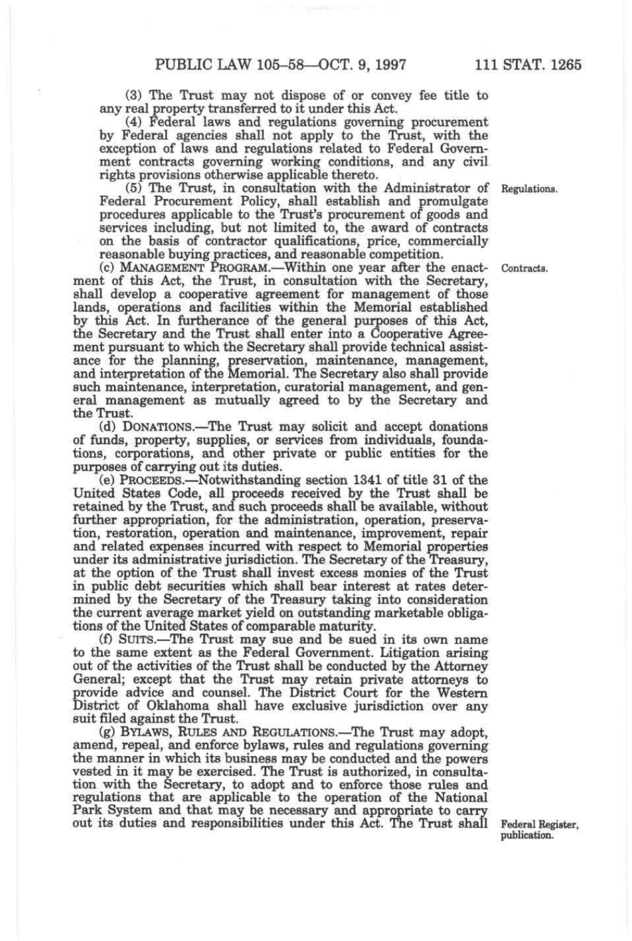(3) The Trust may not dispose of or convey fee title to any real property transferred to it under this Act.

(4) Federal laws and regulations governing procurement by Federal agencies shall not apply to the Trust, with the exception of laws and regulations related to Federal Government contracts governing working conditions, and any civil rights provisions otherwise applicable thereto.

(5) The Trust, in consultation with the Administrator of Regulations. Federal Procurement Policy, shall establish and promulgate procedures applicable to the Trust's procurement of goods and services including, but not limited to, the award of contracts on the basis of contractor qualifications, price, commercially reasonable buying practices, and reasonable competition.

(c) MANAGEMENT PROGRAM.—Within one year after the enact- Contracts, ment of this Act, the Trust, in consultation with the Secretary, shall develop a cooperative agreement for management of those lands, operations and facilities within the Memorial established by this Act. In furtherance of the general purposes of this Act, the Secretary and the Trust shall enter into a Cooperative Agreement pursuant to which the Secretary shall provide technical assistance for the planning, preservation, maintenance, management, and interpretation of the Memorial. The Secretary also shall provide such maintenance, interpretation, curatorial management, and general management as mutually agreed to by the Secretary and the Trust.

(d) DONATIONS.—The Trust may solicit and accept donations of funds, property, supplies, or services from individuals, foundations, corporations, and other private or public entities for the purposes of carrying out its duties.

(e) PROCEEDS.—Notwithstanding section 1341 of title 31 of the United States Code, all proceeds received by the Trust shall be retained by the Trust, and such proceeds shall be available, without further appropriation, for the administration, operation, preservation, restoration, operation and maintenance, improvement, repair and related expenses incurred with respect to Memorial properties under its administrative jurisdiction. The Secretary of the Treasury, at the option of the Trust shall invest excess monies of the Trust in public debt securities which shall bear interest at rates determined by the Secretary of the Treasury taking into consideration the current average market yield on outstanding marketable obligations of the United States of comparable maturity.

(f) SUITS.—The Trust may sue and be sued in its own name to the same extent as the Federal Government. Litigation arising out of the activities of the Trust shall be conducted by the Attorney General; except that the Trust may retain private attorneys to provide advice and counsel. The District Court for the Western District of Oklahoma shall have exclusive jurisdiction over any suit filed against the Trust.

(g) BYLAWS, RULES AND REGULATIONS.—The Trust may adopt, amend, repeal, and enforce bylaws, rules and regulations governing the manner in which its business may be conducted and the powers vested in it may be exercised. The Trust is authorized, in consultation with the Secretary, to adopt and to enforce those rules and regulations that are applicable to the operation of the National Park System and that may be necessary and appropriate to carry out its duties and responsibilities under this Act. The Trust shall Federal Register,

publication.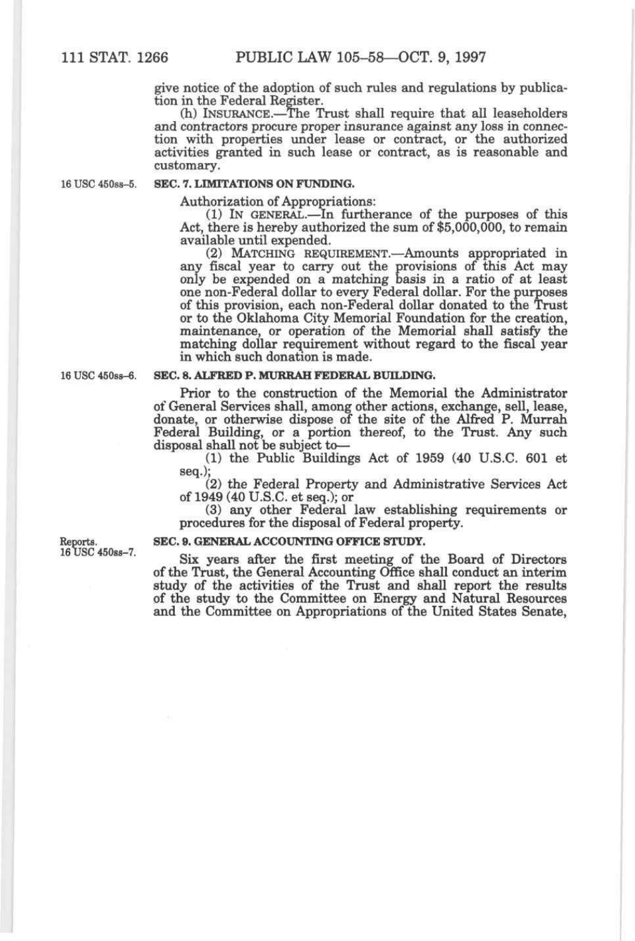give notice of the adoption of such rules and regulations by publication in the Federal Register.

(h) INSURANCE.—The Trust shall require that all leaseholders and contractors procure proper insurance against any loss in connection with properties under lease or contract, or the authorized activities granted in such lease or contract, as is reasonable and customary.

### 16 USC 450ss-5. **SEC. 7. LIMITATIONS ON FUNDING.**

Authorization of Appropriations:

(1) IN GENERAL.—In furtherance of the purposes of this Act, there is hereby authorized the sum of \$5,000,000, to remain available until expended.

(2) MATCHING REQUIREMENT.—Amoimts appropriated in any fiscal year to carry out the provisions of this Act may only be expended on a matching basis in a ratio of at least one non-Federal dollar to every Federal dollar. For the purposes of this provision, each non-Federal dollar donated to the Trust or to the Oklahoma City Memorial Foundation for the creation, maintenance, or operation of the Memorial shall satisfy the matching dollar requirement without regard to the fiscal year in which such donation is made.

## 16 USC 450ss-6. **SEC. 8. ALFRED P. MURRAH FEDERAL BUILDING.**

Prior to the construction of the Memorial the Administrator of General Services shall, among other actions, exchange, sell, lease, donate, or otherwise dispose of the site of the Alfred P. Murrah Federal Building, or a portion thereof, to the Trust. Any such disposal shall not be subject to—

(1) the Public Buildings Act of 1959 (40 U.S.C. 601 et seq.);

(2) the Federal Property and Administrative Services Act of 1949 (40 U.S.C. et seq.); or

(3) any other Federal law establishing requirements or procedures for the disposal of Federal property.

Reports.  $16 \text{ USU } 45088 - 7.$ 

#### **SEC. 9. GENERAL ACCOUNTING OFFICE STUDY.**

Six years after the first meeting of the Board of Directors of the Trust, the General Accounting Office shall conduct an interim study of the activities of the Trust and shall report the results of the study to the Committee on Energy and Natural Resources and the Committee on Appropriations of the United States Senate,